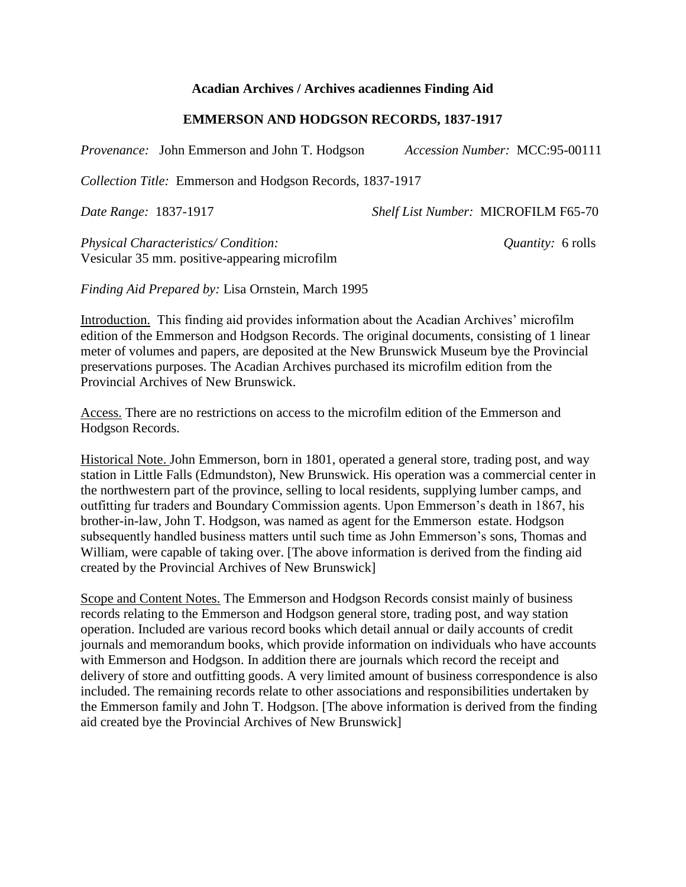## **Acadian Archives / Archives acadiennes Finding Aid**

## **EMMERSON AND HODGSON RECORDS, 1837-1917**

*Provenance:* John Emmerson and John T. Hodgson *Accession Number:* MCC:95-00111

*Collection Title:* Emmerson and Hodgson Records, 1837-1917

*Date Range:* 1837-1917 *Shelf List Number:* MICROFILM F65-70

*Physical Characteristics/ Condition: Quantity:* 6 rolls Vesicular 35 mm. positive-appearing microfilm

*Finding Aid Prepared by:* Lisa Ornstein, March 1995

Introduction. This finding aid provides information about the Acadian Archives' microfilm edition of the Emmerson and Hodgson Records. The original documents, consisting of 1 linear meter of volumes and papers, are deposited at the New Brunswick Museum bye the Provincial preservations purposes. The Acadian Archives purchased its microfilm edition from the Provincial Archives of New Brunswick.

Access. There are no restrictions on access to the microfilm edition of the Emmerson and Hodgson Records.

Historical Note. John Emmerson, born in 1801, operated a general store, trading post, and way station in Little Falls (Edmundston), New Brunswick. His operation was a commercial center in the northwestern part of the province, selling to local residents, supplying lumber camps, and outfitting fur traders and Boundary Commission agents. Upon Emmerson's death in 1867, his brother-in-law, John T. Hodgson, was named as agent for the Emmerson estate. Hodgson subsequently handled business matters until such time as John Emmerson's sons, Thomas and William, were capable of taking over. [The above information is derived from the finding aid created by the Provincial Archives of New Brunswick]

Scope and Content Notes. The Emmerson and Hodgson Records consist mainly of business records relating to the Emmerson and Hodgson general store, trading post, and way station operation. Included are various record books which detail annual or daily accounts of credit journals and memorandum books, which provide information on individuals who have accounts with Emmerson and Hodgson. In addition there are journals which record the receipt and delivery of store and outfitting goods. A very limited amount of business correspondence is also included. The remaining records relate to other associations and responsibilities undertaken by the Emmerson family and John T. Hodgson. [The above information is derived from the finding aid created bye the Provincial Archives of New Brunswick]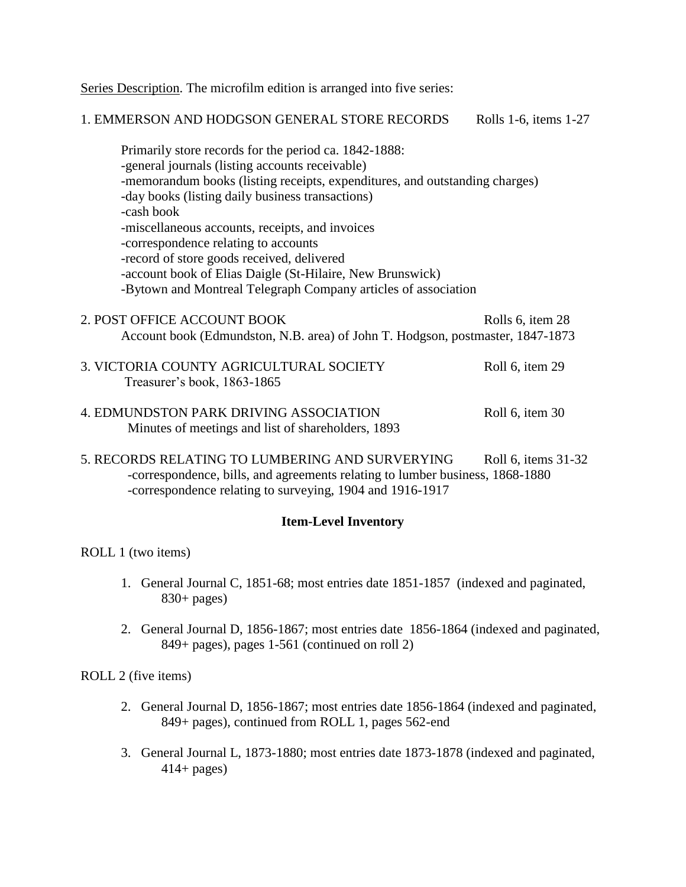Series Description. The microfilm edition is arranged into five series:

## 1. EMMERSON AND HODGSON GENERAL STORE RECORDS Rolls 1-6, items 1-27 Primarily store records for the period ca. 1842-1888: -general journals (listing accounts receivable)

-memorandum books (listing receipts, expenditures, and outstanding charges) -day books (listing daily business transactions) -cash book -miscellaneous accounts, receipts, and invoices -correspondence relating to accounts -record of store goods received, delivered -account book of Elias Daigle (St-Hilaire, New Brunswick) -Bytown and Montreal Telegraph Company articles of association

- 2. POST OFFICE ACCOUNT BOOK Rolls 6, item 28 Account book (Edmundston, N.B. area) of John T. Hodgson, postmaster, 1847-1873
- 3. VICTORIA COUNTY AGRICULTURAL SOCIETY Roll 6, item 29 Treasurer's book, 1863-1865
- 4. EDMUNDSTON PARK DRIVING ASSOCIATION Roll 6, item 30 Minutes of meetings and list of shareholders, 1893
- 5. RECORDS RELATING TO LUMBERING AND SURVERYING Roll 6, items 31-32 -correspondence, bills, and agreements relating to lumber business, 1868-1880 -correspondence relating to surveying, 1904 and 1916-1917

## **Item-Level Inventory**

ROLL 1 (two items)

- 1. General Journal C, 1851-68; most entries date 1851-1857 (indexed and paginated,  $830+$  pages)
- 2. General Journal D, 1856-1867; most entries date 1856-1864 (indexed and paginated, 849+ pages), pages 1-561 (continued on roll 2)

ROLL 2 (five items)

- 2. General Journal D, 1856-1867; most entries date 1856-1864 (indexed and paginated, 849+ pages), continued from ROLL 1, pages 562-end
- 3. General Journal L, 1873-1880; most entries date 1873-1878 (indexed and paginated,  $414 +$  pages)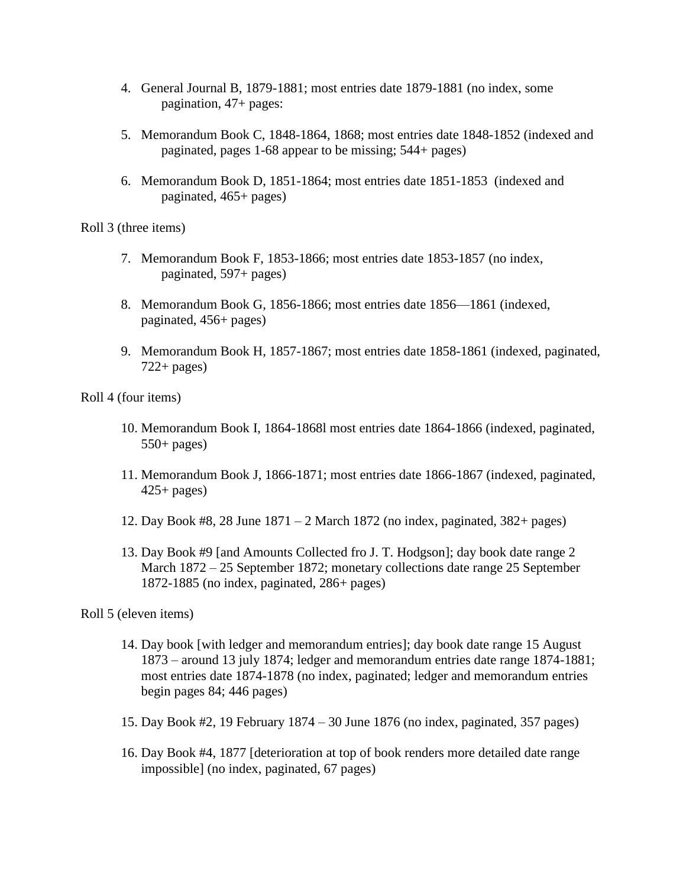- 4. General Journal B, 1879-1881; most entries date 1879-1881 (no index, some pagination, 47+ pages:
- 5. Memorandum Book C, 1848-1864, 1868; most entries date 1848-1852 (indexed and paginated, pages 1-68 appear to be missing; 544+ pages)
- 6. Memorandum Book D, 1851-1864; most entries date 1851-1853 (indexed and paginated, 465+ pages)

Roll 3 (three items)

- 7. Memorandum Book F, 1853-1866; most entries date 1853-1857 (no index, paginated, 597+ pages)
- 8. Memorandum Book G, 1856-1866; most entries date 1856—1861 (indexed, paginated, 456+ pages)
- 9. Memorandum Book H, 1857-1867; most entries date 1858-1861 (indexed, paginated,  $722+$  pages)

Roll 4 (four items)

- 10. Memorandum Book I, 1864-1868l most entries date 1864-1866 (indexed, paginated,  $550+$  pages)
- 11. Memorandum Book J, 1866-1871; most entries date 1866-1867 (indexed, paginated,  $425+$  pages)
- 12. Day Book #8, 28 June 1871 2 March 1872 (no index, paginated, 382+ pages)
- 13. Day Book #9 [and Amounts Collected fro J. T. Hodgson]; day book date range 2 March 1872 – 25 September 1872; monetary collections date range 25 September 1872-1885 (no index, paginated, 286+ pages)

Roll 5 (eleven items)

- 14. Day book [with ledger and memorandum entries]; day book date range 15 August 1873 – around 13 july 1874; ledger and memorandum entries date range 1874-1881; most entries date 1874-1878 (no index, paginated; ledger and memorandum entries begin pages 84; 446 pages)
- 15. Day Book #2, 19 February 1874 30 June 1876 (no index, paginated, 357 pages)
- 16. Day Book #4, 1877 [deterioration at top of book renders more detailed date range impossible] (no index, paginated, 67 pages)